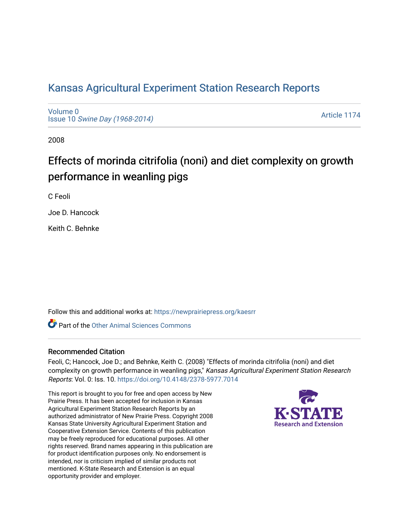# [Kansas Agricultural Experiment Station Research Reports](https://newprairiepress.org/kaesrr)

[Volume 0](https://newprairiepress.org/kaesrr/vol0) Issue 10 [Swine Day \(1968-2014\)](https://newprairiepress.org/kaesrr/vol0/iss10)

[Article 1174](https://newprairiepress.org/kaesrr/vol0/iss10/1174) 

2008

# Effects of morinda citrifolia (noni) and diet complexity on growth performance in weanling pigs

C Feoli

Joe D. Hancock

Keith C. Behnke

Follow this and additional works at: [https://newprairiepress.org/kaesrr](https://newprairiepress.org/kaesrr?utm_source=newprairiepress.org%2Fkaesrr%2Fvol0%2Fiss10%2F1174&utm_medium=PDF&utm_campaign=PDFCoverPages) 

**C** Part of the [Other Animal Sciences Commons](http://network.bepress.com/hgg/discipline/82?utm_source=newprairiepress.org%2Fkaesrr%2Fvol0%2Fiss10%2F1174&utm_medium=PDF&utm_campaign=PDFCoverPages)

#### Recommended Citation

Feoli, C; Hancock, Joe D.; and Behnke, Keith C. (2008) "Effects of morinda citrifolia (noni) and diet complexity on growth performance in weanling pigs," Kansas Agricultural Experiment Station Research Reports: Vol. 0: Iss. 10.<https://doi.org/10.4148/2378-5977.7014>

This report is brought to you for free and open access by New Prairie Press. It has been accepted for inclusion in Kansas Agricultural Experiment Station Research Reports by an authorized administrator of New Prairie Press. Copyright 2008 Kansas State University Agricultural Experiment Station and Cooperative Extension Service. Contents of this publication may be freely reproduced for educational purposes. All other rights reserved. Brand names appearing in this publication are for product identification purposes only. No endorsement is intended, nor is criticism implied of similar products not mentioned. K-State Research and Extension is an equal opportunity provider and employer.

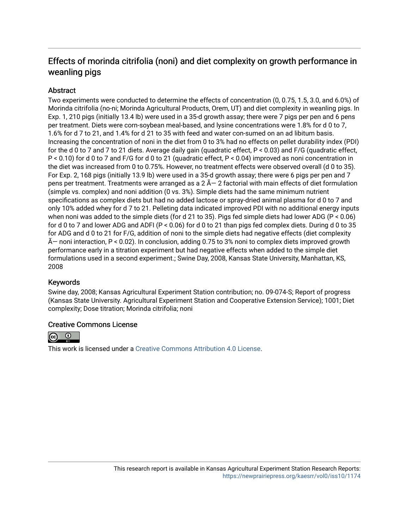# Effects of morinda citrifolia (noni) and diet complexity on growth performance in weanling pigs

# **Abstract**

Two experiments were conducted to determine the effects of concentration (0, 0.75, 1.5, 3.0, and 6.0%) of Morinda citrifolia (no-ni; Morinda Agricultural Products, Orem, UT) and diet complexity in weanling pigs. In Exp. 1, 210 pigs (initially 13.4 lb) were used in a 35-d growth assay; there were 7 pigs per pen and 6 pens per treatment. Diets were corn-soybean meal-based, and lysine concentrations were 1.8% for d 0 to 7, 1.6% for d 7 to 21, and 1.4% for d 21 to 35 with feed and water con-sumed on an ad libitum basis. Increasing the concentration of noni in the diet from 0 to 3% had no effects on pellet durability index (PDI) for the d 0 to 7 and 7 to 21 diets. Average daily gain (quadratic effect, P < 0.03) and F/G (quadratic effect, P < 0.10) for d 0 to 7 and F/G for d 0 to 21 (quadratic effect, P < 0.04) improved as noni concentration in the diet was increased from 0 to 0.75%. However, no treatment effects were observed overall (d 0 to 35). For Exp. 2, 168 pigs (initially 13.9 lb) were used in a 35-d growth assay; there were 6 pigs per pen and 7 pens per treatment. Treatments were arranged as a  $2 \tilde{A} - 2$  factorial with main effects of diet formulation (simple vs. complex) and noni addition (0 vs. 3%). Simple diets had the same minimum nutrient specifications as complex diets but had no added lactose or spray-dried animal plasma for d 0 to 7 and only 10% added whey for d 7 to 21. Pelleting data indicated improved PDI with no additional energy inputs when noni was added to the simple diets (for d 21 to 35). Pigs fed simple diets had lower ADG (P < 0.06) for d 0 to 7 and lower ADG and ADFI (P < 0.06) for d 0 to 21 than pigs fed complex diets. During d 0 to 35 for ADG and d 0 to 21 for F/G, addition of noni to the simple diets had negative effects (diet complexity  $\tilde{A}$  noni interaction, P < 0.02). In conclusion, adding 0.75 to 3% noni to complex diets improved growth performance early in a titration experiment but had negative effects when added to the simple diet formulations used in a second experiment.; Swine Day, 2008, Kansas State University, Manhattan, KS, 2008

# Keywords

Swine day, 2008; Kansas Agricultural Experiment Station contribution; no. 09-074-S; Report of progress (Kansas State University. Agricultural Experiment Station and Cooperative Extension Service); 1001; Diet complexity; Dose titration; Morinda citrifolia; noni

# Creative Commons License



This work is licensed under a [Creative Commons Attribution 4.0 License](https://creativecommons.org/licenses/by/4.0/).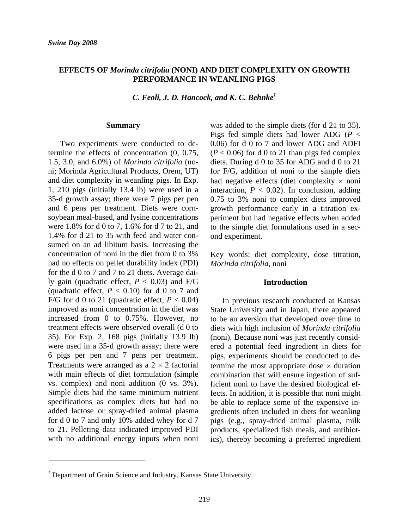### **EFFECTS OF** *Morinda citrifolia* **(NONI) AND DIET COMPLEXITY ON GROWTH PERFORMANCE IN WEANLING PIGS**

*C. Feoli, J. D. Hancock, and K. C. Behnke1*

#### **Summary**

Two experiments were conducted to determine the effects of concentration (0, 0.75, 1.5, 3.0, and 6.0%) of *Morinda citrifolia* (noni; Morinda Agricultural Products, Orem, UT) and diet complexity in weanling pigs. In Exp. 1, 210 pigs (initially 13.4 lb) were used in a 35-d growth assay; there were 7 pigs per pen and 6 pens per treatment. Diets were cornsoybean meal-based, and lysine concentrations were 1.8% for d 0 to 7, 1.6% for d 7 to 21, and 1.4% for d 21 to 35 with feed and water consumed on an ad libitum basis. Increasing the concentration of noni in the diet from 0 to 3% had no effects on pellet durability index (PDI) for the d 0 to 7 and 7 to 21 diets. Average daily gain (quadratic effect, *P* < 0.03) and F/G (quadratic effect,  $P < 0.10$ ) for d 0 to 7 and F/G for d 0 to 21 (quadratic effect,  $P < 0.04$ ) improved as noni concentration in the diet was increased from 0 to 0.75%. However, no treatment effects were observed overall (d 0 to 35). For Exp. 2, 168 pigs (initially 13.9 lb) were used in a 35-d growth assay; there were 6 pigs per pen and 7 pens per treatment. Treatments were arranged as a  $2 \times 2$  factorial with main effects of diet formulation (simple vs. complex) and noni addition (0 vs. 3%). Simple diets had the same minimum nutrient specifications as complex diets but had no added lactose or spray-dried animal plasma for d 0 to 7 and only 10% added whey for d 7 to 21. Pelleting data indicated improved PDI with no additional energy inputs when noni was added to the simple diets (for d 21 to 35). Pigs fed simple diets had lower ADG (*P* < 0.06) for d 0 to 7 and lower ADG and ADFI  $(P < 0.06)$  for d 0 to 21 than pigs fed complex diets. During d 0 to 35 for ADG and d 0 to 21 for F/G, addition of noni to the simple diets had negative effects (diet complexity  $\times$  noni interaction,  $P < 0.02$ ). In conclusion, adding 0.75 to 3% noni to complex diets improved growth performance early in a titration experiment but had negative effects when added to the simple diet formulations used in a second experiment.

Key words: diet complexity, dose titration, *Morinda citrifolia*, noni

#### **Introduction**

In previous research conducted at Kansas State University and in Japan, there appeared to be an aversion that developed over time to diets with high inclusion of *Morinda citrifolia*  (noni). Because noni was just recently considered a potential feed ingredient in diets for pigs, experiments should be conducted to determine the most appropriate dose  $\times$  duration combination that will ensure ingestion of sufficient noni to have the desired biological effects. In addition, it is possible that noni might be able to replace some of the expensive ingredients often included in diets for weanling pigs (e.g., spray-dried animal plasma, milk products, specialized fish meals, and antibiotics), thereby becoming a preferred ingredient

<u> 1980 - Johann Barnett, fransk politik (</u>

<sup>&</sup>lt;sup>1</sup> Department of Grain Science and Industry, Kansas State University.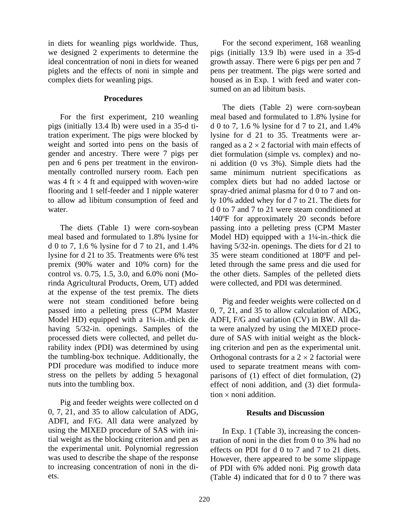in diets for weanling pigs worldwide. Thus, we designed 2 experiments to determine the ideal concentration of noni in diets for weaned piglets and the effects of noni in simple and complex diets for weanling pigs.

#### **Procedures**

For the first experiment, 210 weanling pigs (initially 13.4 lb) were used in a 35-d titration experiment. The pigs were blocked by weight and sorted into pens on the basis of gender and ancestry. There were 7 pigs per pen and 6 pens per treatment in the environmentally controlled nursery room. Each pen was 4 ft  $\times$  4 ft and equipped with woven-wire flooring and 1 self-feeder and 1 nipple waterer to allow ad libitum consumption of feed and water.

The diets (Table 1) were corn-soybean meal based and formulated to 1.8% lysine for d 0 to 7, 1.6 % lysine for d 7 to 21, and 1.4% lysine for d 21 to 35. Treatments were 6% test premix (90% water and 10% corn) for the control vs. 0.75, 1.5, 3.0, and 6.0% noni (Morinda Agricultural Products, Orem, UT) added at the expense of the test premix. The diets were not steam conditioned before being passed into a pelleting press (CPM Master Model HD) equipped with a 1¼-in.-thick die having 5/32-in. openings. Samples of the processed diets were collected, and pellet durability index (PDI) was determined by using the tumbling-box technique. Additionally, the PDI procedure was modified to induce more stress on the pellets by adding 5 hexagonal nuts into the tumbling box.

Pig and feeder weights were collected on d 0, 7, 21, and 35 to allow calculation of ADG, ADFI, and F/G. All data were analyzed by using the MIXED procedure of SAS with initial weight as the blocking criterion and pen as the experimental unit. Polynomial regression was used to describe the shape of the response to increasing concentration of noni in the diets.

For the second experiment, 168 weanling pigs (initially 13.9 lb) were used in a 35-d growth assay. There were 6 pigs per pen and 7 pens per treatment. The pigs were sorted and housed as in Exp. 1 with feed and water consumed on an ad libitum basis.

The diets (Table 2) were corn-soybean meal based and formulated to 1.8% lysine for d 0 to 7, 1.6 % lysine for d 7 to 21, and 1.4% lysine for d 21 to 35. Treatments were arranged as a  $2 \times 2$  factorial with main effects of diet formulation (simple vs. complex) and noni addition (0 vs 3%). Simple diets had the same minimum nutrient specifications as complex diets but had no added lactose or spray-dried animal plasma for d 0 to 7 and only 10% added whey for d 7 to 21. The diets for d 0 to 7 and 7 to 21 were steam conditioned at 140ºF for approximately 20 seconds before passing into a pelleting press (CPM Master Model HD) equipped with a 1¼-in.-thick die having 5/32-in. openings. The diets for d 21 to 35 were steam conditioned at 180ºF and pelleted through the same press and die used for the other diets. Samples of the pelleted diets were collected, and PDI was determined.

Pig and feeder weights were collected on d 0, 7, 21, and 35 to allow calculation of ADG, ADFI, F/G and variation (CV) in BW. All data were analyzed by using the MIXED procedure of SAS with initial weight as the blocking criterion and pen as the experimental unit. Orthogonal contrasts for a  $2 \times 2$  factorial were used to separate treatment means with comparisons of (1) effect of diet formulation, (2) effect of noni addition, and (3) diet formulation × noni addition.

### **Results and Discussion**

In Exp. 1 (Table 3), increasing the concentration of noni in the diet from 0 to 3% had no effects on PDI for d 0 to 7 and 7 to 21 diets. However, there appeared to be some slippage of PDI with 6% added noni. Pig growth data (Table 4) indicated that for d 0 to 7 there was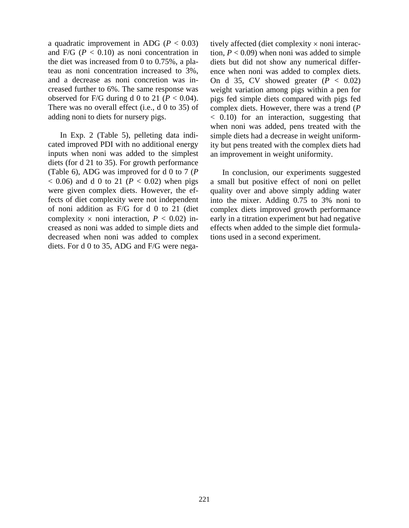a quadratic improvement in ADG ( $P < 0.03$ ) and  $F/G$  ( $P < 0.10$ ) as noni concentration in the diet was increased from 0 to 0.75%, a plateau as noni concentration increased to 3%, and a decrease as noni concretion was increased further to 6%. The same response was observed for F/G during d 0 to 21 ( $P < 0.04$ ). There was no overall effect (i.e., d 0 to 35) of adding noni to diets for nursery pigs.

In Exp. 2 (Table 5), pelleting data indicated improved PDI with no additional energy inputs when noni was added to the simplest diets (for d 21 to 35). For growth performance (Table 6), ADG was improved for d 0 to 7 (*P*  $(0.06)$  and d 0 to 21 ( $P < 0.02$ ) when pigs were given complex diets. However, the effects of diet complexity were not independent of noni addition as F/G for d 0 to 21 (diet complexity  $\times$  noni interaction,  $P < 0.02$ ) increased as noni was added to simple diets and decreased when noni was added to complex diets. For d 0 to 35, ADG and F/G were negatively affected (diet complexity × noni interaction,  $P < 0.09$ ) when noni was added to simple diets but did not show any numerical difference when noni was added to complex diets. On d 35, CV showed greater  $(P < 0.02)$ weight variation among pigs within a pen for pigs fed simple diets compared with pigs fed complex diets. However, there was a trend (*P* < 0.10) for an interaction, suggesting that when noni was added, pens treated with the simple diets had a decrease in weight uniformity but pens treated with the complex diets had an improvement in weight uniformity.

In conclusion, our experiments suggested a small but positive effect of noni on pellet quality over and above simply adding water into the mixer. Adding 0.75 to 3% noni to complex diets improved growth performance early in a titration experiment but had negative effects when added to the simple diet formulations used in a second experiment.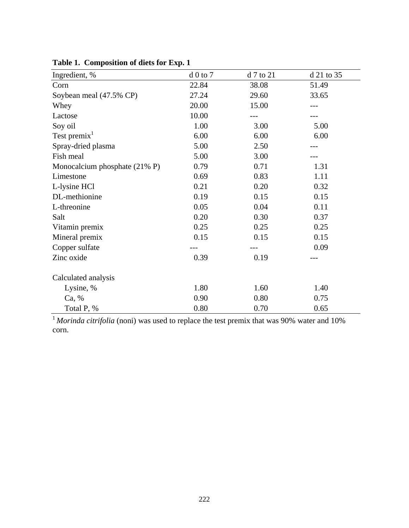| Ingredient, %                            | $d0$ to $7$ | d 7 to 21 | d 21 to 35 |
|------------------------------------------|-------------|-----------|------------|
| Corn                                     | 22.84       | 38.08     | 51.49      |
| Soybean meal (47.5% CP)                  | 27.24       | 29.60     | 33.65      |
| Whey                                     | 20.00       | 15.00     |            |
| Lactose                                  | 10.00       |           |            |
| Soy oil                                  | 1.00        | 3.00      | 5.00       |
| Test premix <sup>1</sup>                 | 6.00        | 6.00      | 6.00       |
| Spray-dried plasma                       | 5.00        | 2.50      |            |
| Fish meal                                | 5.00        | 3.00      |            |
| Monocalcium phosphate $(21\% \text{ P})$ | 0.79        | 0.71      | 1.31       |
| Limestone                                | 0.69        | 0.83      | 1.11       |
| L-lysine HCl                             | 0.21        | 0.20      | 0.32       |
| DL-methionine                            | 0.19        | 0.15      | 0.15       |
| L-threonine                              | 0.05        | 0.04      | 0.11       |
| Salt                                     | 0.20        | 0.30      | 0.37       |
| Vitamin premix                           | 0.25        | 0.25      | 0.25       |
| Mineral premix                           | 0.15        | 0.15      | 0.15       |
| Copper sulfate                           |             |           | 0.09       |
| Zinc oxide                               | 0.39        | 0.19      |            |
| Calculated analysis                      |             |           |            |
| Lysine, %                                | 1.80        | 1.60      | 1.40       |
| Ca, %                                    | 0.90        | 0.80      | 0.75       |
| Total P, %                               | 0.80        | 0.70      | 0.65       |

**Table 1. Composition of diets for Exp. 1**

<sup>1</sup>Morinda citrifolia (noni) was used to replace the test premix that was 90% water and 10% corn.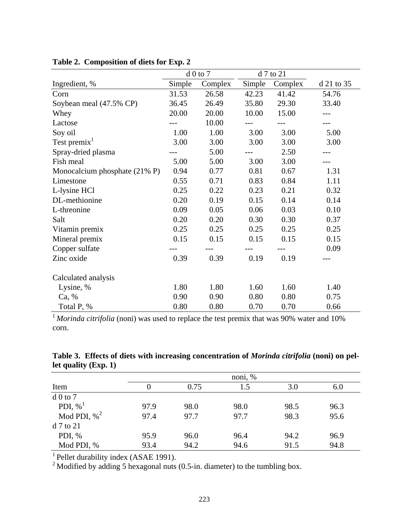|                               | $d0$ to $7$ |         |        | d 7 to 21 |            |
|-------------------------------|-------------|---------|--------|-----------|------------|
| Ingredient, %                 | Simple      | Complex | Simple | Complex   | d 21 to 35 |
| Corn                          | 31.53       | 26.58   | 42.23  | 41.42     | 54.76      |
| Soybean meal (47.5% CP)       | 36.45       | 26.49   | 35.80  | 29.30     | 33.40      |
| Whey                          | 20.00       | 20.00   | 10.00  | 15.00     | ---        |
| Lactose                       |             | 10.00   |        |           |            |
| Soy oil                       | 1.00        | 1.00    | 3.00   | 3.00      | 5.00       |
| Test premix <sup>1</sup>      | 3.00        | 3.00    | 3.00   | 3.00      | 3.00       |
| Spray-dried plasma            |             | 5.00    |        | 2.50      |            |
| Fish meal                     | 5.00        | 5.00    | 3.00   | 3.00      |            |
| Monocalcium phosphate (21% P) | 0.94        | 0.77    | 0.81   | 0.67      | 1.31       |
| Limestone                     | 0.55        | 0.71    | 0.83   | 0.84      | 1.11       |
| L-lysine HCl                  | 0.25        | 0.22    | 0.23   | 0.21      | 0.32       |
| DL-methionine                 | 0.20        | 0.19    | 0.15   | 0.14      | 0.14       |
| L-threonine                   | 0.09        | 0.05    | 0.06   | 0.03      | 0.10       |
| Salt                          | 0.20        | 0.20    | 0.30   | 0.30      | 0.37       |
| Vitamin premix                | 0.25        | 0.25    | 0.25   | 0.25      | 0.25       |
| Mineral premix                | 0.15        | 0.15    | 0.15   | 0.15      | 0.15       |
| Copper sulfate                |             |         |        |           | 0.09       |
| Zinc oxide                    | 0.39        | 0.39    | 0.19   | 0.19      |            |
| Calculated analysis           |             |         |        |           |            |
| Lysine, %                     | 1.80        | 1.80    | 1.60   | 1.60      | 1.40       |
| Ca, %                         | 0.90        | 0.90    | 0.80   | 0.80      | 0.75       |
| Total P, %                    | 0.80        | 0.80    | 0.70   | 0.70      | 0.66       |

| Table 2. Composition of diets for Exp. 2 |  |  |  |  |  |
|------------------------------------------|--|--|--|--|--|
|------------------------------------------|--|--|--|--|--|

<sup>1</sup> Morinda citrifolia (noni) was used to replace the test premix that was 90% water and 10% corn.

|                        |  | Table 3. Effects of diets with increasing concentration of <i>Morinda citrifolia</i> (noni) on pel- |  |  |
|------------------------|--|-----------------------------------------------------------------------------------------------------|--|--|
| let quality $(Exp. 1)$ |  |                                                                                                     |  |  |

|                        | noni, % |      |      |      |      |  |  |
|------------------------|---------|------|------|------|------|--|--|
| Item                   |         | 0.75 | 1.5  | 3.0  | 6.0  |  |  |
| $d0$ to 7              |         |      |      |      |      |  |  |
| PDI, $\%$ <sup>1</sup> | 97.9    | 98.0 | 98.0 | 98.5 | 96.3 |  |  |
| Mod PDI, $\%^2$        | 97.4    | 97.7 | 97.7 | 98.3 | 95.6 |  |  |
| $d$ 7 to 21            |         |      |      |      |      |  |  |
| PDI, $%$               | 95.9    | 96.0 | 96.4 | 94.2 | 96.9 |  |  |
| Mod PDI, %             | 93.4    | 94.2 | 94.6 | 91.5 | 94.8 |  |  |

<sup>1</sup> Pellet durability index (ASAE 1991).

<sup>2</sup> Modified by adding 5 hexagonal nuts (0.5-in. diameter) to the tumbling box.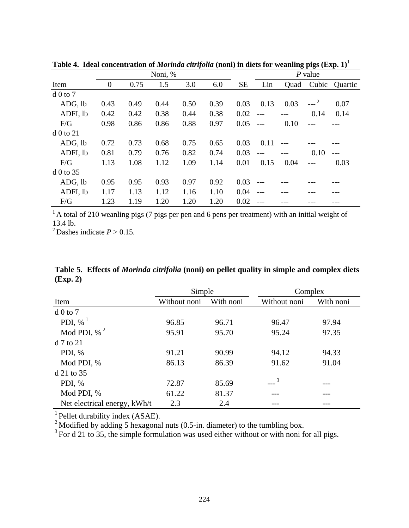|              | Noni, %        |      |      |      |      |           |       | $P$ value |        |         |
|--------------|----------------|------|------|------|------|-----------|-------|-----------|--------|---------|
| Item         | $\overline{0}$ | 0.75 | 1.5  | 3.0  | 6.0  | <b>SE</b> | Lin   | Quad      | Cubic  | Quartic |
| $d0$ to $7$  |                |      |      |      |      |           |       |           |        |         |
| ADG, lb      | 0.43           | 0.49 | 0.44 | 0.50 | 0.39 | 0.03      | 0.13  | 0.03      | $---2$ | 0.07    |
| ADFI, lb     | 0.42           | 0.42 | 0.38 | 0.44 | 0.38 | 0.02      |       |           | 0.14   | 0.14    |
| F/G          | 0.98           | 0.86 | 0.86 | 0.88 | 0.97 | 0.05      |       | 0.10      |        |         |
| $d\ 0$ to 21 |                |      |      |      |      |           |       |           |        |         |
| ADG, lb      | 0.72           | 0.73 | 0.68 | 0.75 | 0.65 | 0.03      | 0.11  |           |        |         |
| ADFI, lb     | 0.81           | 0.79 | 0.76 | 0.82 | 0.74 | 0.03      | $---$ |           | 0.10   |         |
| F/G          | 1.13           | 1.08 | 1.12 | 1.09 | 1.14 | 0.01      | 0.15  | 0.04      |        | 0.03    |
| $d\ 0$ to 35 |                |      |      |      |      |           |       |           |        |         |
| ADG, lb      | 0.95           | 0.95 | 0.93 | 0.97 | 0.92 | 0.03      |       |           |        |         |
| ADFI, lb     | 1.17           | 1.13 | 1.12 | 1.16 | 1.10 | 0.04      |       |           |        |         |
| F/G          | 1.23           | 1.19 | 1.20 | 1.20 | 1.20 | 0.02      |       |           |        |         |

**Table 4. Ideal concentration of** *Morinda citrifolia* **(noni) in diets for weanling pigs (Exp. 1)**<sup>1</sup>

 $1 A$  total of 210 weanling pigs (7 pigs per pen and 6 pens per treatment) with an initial weight of 13.4 lb.

<sup>2</sup> Dashes indicate  $P > 0.15$ .

**Table 5. Effects of** *Morinda citrifolia* **(noni) on pellet quality in simple and complex diets (Exp. 2)**

|                              | Simple       |           |               | Complex   |  |  |
|------------------------------|--------------|-----------|---------------|-----------|--|--|
| Item                         | Without noni | With noni | Without noni  | With noni |  |  |
| $d0$ to $7$                  |              |           |               |           |  |  |
| PDI, % $^{1}$                | 96.85        | 96.71     | 96.47         | 97.94     |  |  |
| Mod PDI, $\%$ <sup>2</sup>   | 95.91        | 95.70     | 95.24         | 97.35     |  |  |
| $d$ 7 to 21                  |              |           |               |           |  |  |
| PDI, $%$                     | 91.21        | 90.99     | 94.12         | 94.33     |  |  |
| Mod PDI, %                   | 86.13        | 86.39     | 91.62         | 91.04     |  |  |
| $d$ 21 to 35                 |              |           |               |           |  |  |
| PDI, $%$                     | 72.87        | 85.69     | $\frac{3}{2}$ |           |  |  |
| Mod PDI, %                   | 61.22        | 81.37     |               |           |  |  |
| Net electrical energy, kWh/t | 2.3          | 2.4       |               |           |  |  |

<sup>1</sup> Pellet durability index (ASAE).

<sup>2</sup> Modified by adding 5 hexagonal nuts (0.5-in. diameter) to the tumbling box.

 $3$  For d 21 to 35, the simple formulation was used either without or with noni for all pigs.